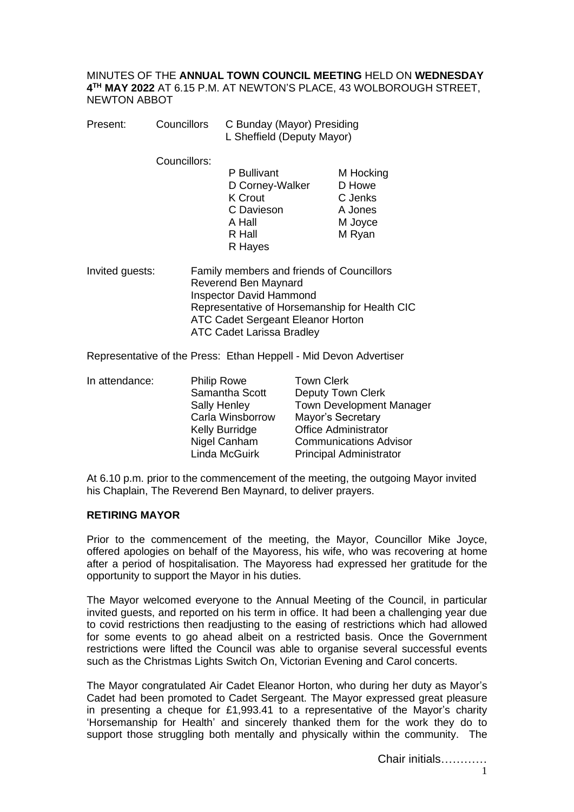MINUTES OF THE **ANNUAL TOWN COUNCIL MEETING** HELD ON **WEDNESDAY 4 TH MAY 2022** AT 6.15 P.M. AT NEWTON'S PLACE, 43 WOLBOROUGH STREET, NEWTON ABBOT

| Present: | Councillors  | C Bunday (Mayor) Presiding<br>L Sheffield (Deputy Mayor) |           |
|----------|--------------|----------------------------------------------------------|-----------|
|          | Councillors: |                                                          |           |
|          |              | P Bullivant                                              | M Hocking |
|          |              | D Corney-Walker                                          | D Howe    |
|          |              | <b>K</b> Crout                                           | C Jenks   |
|          |              | C Davieson                                               | A Jones   |
|          |              | A Hall                                                   | M Joyce   |
|          |              | R Hall                                                   | M Ryan    |

Invited guests: Family members and friends of Councillors Reverend Ben Maynard Inspector David Hammond Representative of Horsemanship for Health CIC ATC Cadet Sergeant Eleanor Horton ATC Cadet Larissa Bradley

R Hayes

Representative of the Press: Ethan Heppell - Mid Devon Advertiser

| In attendance: | <b>Philip Rowe</b>    | <b>Town Clerk</b>               |
|----------------|-----------------------|---------------------------------|
|                | Samantha Scott        | <b>Deputy Town Clerk</b>        |
|                | <b>Sally Henley</b>   | <b>Town Development Manager</b> |
|                | Carla Winsborrow      | Mayor's Secretary               |
|                | <b>Kelly Burridge</b> | <b>Office Administrator</b>     |
|                | Nigel Canham          | <b>Communications Advisor</b>   |
|                | Linda McGuirk         | <b>Principal Administrator</b>  |

At 6.10 p.m. prior to the commencement of the meeting, the outgoing Mayor invited his Chaplain, The Reverend Ben Maynard, to deliver prayers.

### **RETIRING MAYOR**

Prior to the commencement of the meeting, the Mayor, Councillor Mike Joyce, offered apologies on behalf of the Mayoress, his wife, who was recovering at home after a period of hospitalisation. The Mayoress had expressed her gratitude for the opportunity to support the Mayor in his duties.

The Mayor welcomed everyone to the Annual Meeting of the Council, in particular invited guests, and reported on his term in office. It had been a challenging year due to covid restrictions then readjusting to the easing of restrictions which had allowed for some events to go ahead albeit on a restricted basis. Once the Government restrictions were lifted the Council was able to organise several successful events such as the Christmas Lights Switch On, Victorian Evening and Carol concerts.

The Mayor congratulated Air Cadet Eleanor Horton, who during her duty as Mayor's Cadet had been promoted to Cadet Sergeant. The Mayor expressed great pleasure in presenting a cheque for £1,993.41 to a representative of the Mayor's charity 'Horsemanship for Health' and sincerely thanked them for the work they do to support those struggling both mentally and physically within the community. The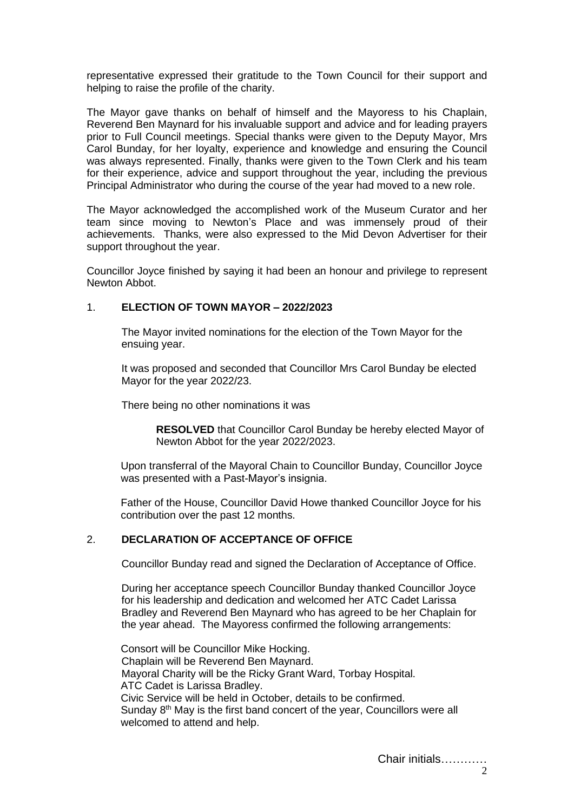representative expressed their gratitude to the Town Council for their support and helping to raise the profile of the charity.

The Mayor gave thanks on behalf of himself and the Mayoress to his Chaplain, Reverend Ben Maynard for his invaluable support and advice and for leading prayers prior to Full Council meetings. Special thanks were given to the Deputy Mayor, Mrs Carol Bunday, for her loyalty, experience and knowledge and ensuring the Council was always represented. Finally, thanks were given to the Town Clerk and his team for their experience, advice and support throughout the year, including the previous Principal Administrator who during the course of the year had moved to a new role.

The Mayor acknowledged the accomplished work of the Museum Curator and her team since moving to Newton's Place and was immensely proud of their achievements. Thanks, were also expressed to the Mid Devon Advertiser for their support throughout the year.

Councillor Joyce finished by saying it had been an honour and privilege to represent Newton Abbot.

## 1. **ELECTION OF TOWN MAYOR – 2022/2023**

The Mayor invited nominations for the election of the Town Mayor for the ensuing year.

It was proposed and seconded that Councillor Mrs Carol Bunday be elected Mayor for the year 2022/23.

There being no other nominations it was

**RESOLVED** that Councillor Carol Bunday be hereby elected Mayor of Newton Abbot for the year 2022/2023.

Upon transferral of the Mayoral Chain to Councillor Bunday, Councillor Joyce was presented with a Past-Mayor's insignia.

Father of the House, Councillor David Howe thanked Councillor Joyce for his contribution over the past 12 months.

### 2. **DECLARATION OF ACCEPTANCE OF OFFICE**

Councillor Bunday read and signed the Declaration of Acceptance of Office.

During her acceptance speech Councillor Bunday thanked Councillor Joyce for his leadership and dedication and welcomed her ATC Cadet Larissa Bradley and Reverend Ben Maynard who has agreed to be her Chaplain for the year ahead. The Mayoress confirmed the following arrangements:

Consort will be Councillor Mike Hocking. Chaplain will be Reverend Ben Maynard. Mayoral Charity will be the Ricky Grant Ward, Torbay Hospital. ATC Cadet is Larissa Bradley. Civic Service will be held in October, details to be confirmed. Sunday 8<sup>th</sup> May is the first band concert of the year, Councillors were all welcomed to attend and help.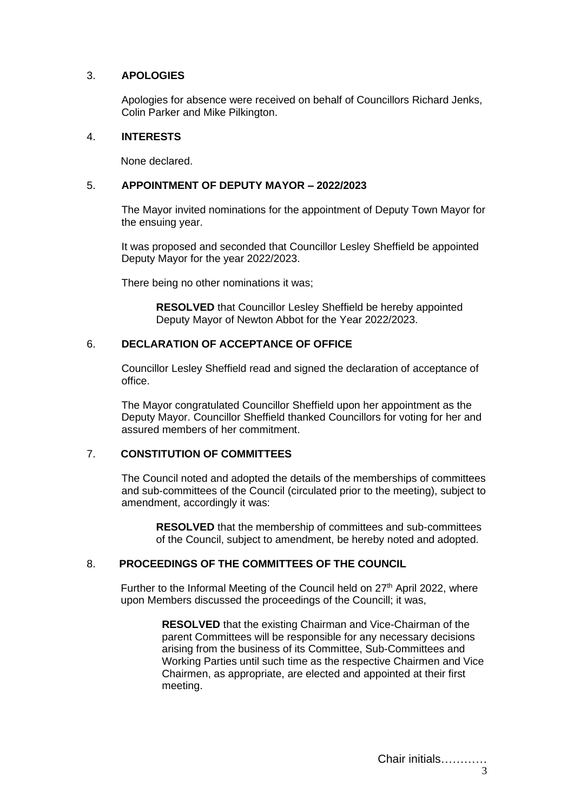# 3. **APOLOGIES**

Apologies for absence were received on behalf of Councillors Richard Jenks, Colin Parker and Mike Pilkington.

## 4. **INTERESTS**

None declared.

## 5. **APPOINTMENT OF DEPUTY MAYOR – 2022/2023**

The Mayor invited nominations for the appointment of Deputy Town Mayor for the ensuing year.

It was proposed and seconded that Councillor Lesley Sheffield be appointed Deputy Mayor for the year 2022/2023.

There being no other nominations it was;

**RESOLVED** that Councillor Lesley Sheffield be hereby appointed Deputy Mayor of Newton Abbot for the Year 2022/2023.

# 6. **DECLARATION OF ACCEPTANCE OF OFFICE**

Councillor Lesley Sheffield read and signed the declaration of acceptance of office.

The Mayor congratulated Councillor Sheffield upon her appointment as the Deputy Mayor. Councillor Sheffield thanked Councillors for voting for her and assured members of her commitment.

# 7. **CONSTITUTION OF COMMITTEES**

The Council noted and adopted the details of the memberships of committees and sub-committees of the Council (circulated prior to the meeting), subject to amendment, accordingly it was:

**RESOLVED** that the membership of committees and sub-committees of the Council, subject to amendment, be hereby noted and adopted.

# 8. **PROCEEDINGS OF THE COMMITTEES OF THE COUNCIL**

Further to the Informal Meeting of the Council held on  $27<sup>th</sup>$  April 2022, where upon Members discussed the proceedings of the Councill; it was,

> **RESOLVED** that the existing Chairman and Vice-Chairman of the parent Committees will be responsible for any necessary decisions arising from the business of its Committee, Sub-Committees and Working Parties until such time as the respective Chairmen and Vice Chairmen, as appropriate, are elected and appointed at their first meeting.